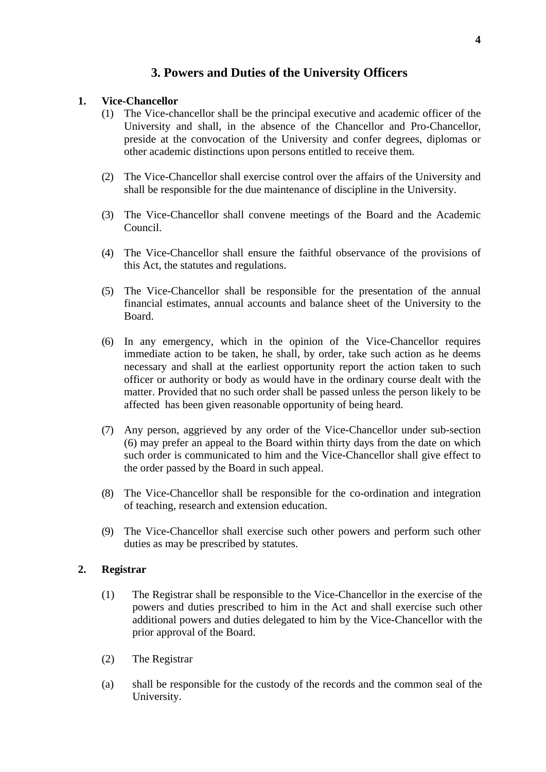# **3. Powers and Duties of the University Officers**

### **1. Vice-Chancellor**

- (1) The Vice-chancellor shall be the principal executive and academic officer of the University and shall, in the absence of the Chancellor and Pro-Chancellor, preside at the convocation of the University and confer degrees, diplomas or other academic distinctions upon persons entitled to receive them.
- (2) The Vice-Chancellor shall exercise control over the affairs of the University and shall be responsible for the due maintenance of discipline in the University.
- (3) The Vice-Chancellor shall convene meetings of the Board and the Academic Council.
- (4) The Vice-Chancellor shall ensure the faithful observance of the provisions of this Act, the statutes and regulations.
- (5) The Vice-Chancellor shall be responsible for the presentation of the annual financial estimates, annual accounts and balance sheet of the University to the Board.
- (6) In any emergency, which in the opinion of the Vice-Chancellor requires immediate action to be taken, he shall, by order, take such action as he deems necessary and shall at the earliest opportunity report the action taken to such officer or authority or body as would have in the ordinary course dealt with the matter. Provided that no such order shall be passed unless the person likely to be affected has been given reasonable opportunity of being heard.
- (7) Any person, aggrieved by any order of the Vice-Chancellor under sub-section (6) may prefer an appeal to the Board within thirty days from the date on which such order is communicated to him and the Vice-Chancellor shall give effect to the order passed by the Board in such appeal.
- (8) The Vice-Chancellor shall be responsible for the co-ordination and integration of teaching, research and extension education.
- (9) The Vice-Chancellor shall exercise such other powers and perform such other duties as may be prescribed by statutes.

#### **2. Registrar**

- (1) The Registrar shall be responsible to the Vice-Chancellor in the exercise of the powers and duties prescribed to him in the Act and shall exercise such other additional powers and duties delegated to him by the Vice-Chancellor with the prior approval of the Board.
- (2) The Registrar
- (a) shall be responsible for the custody of the records and the common seal of the University.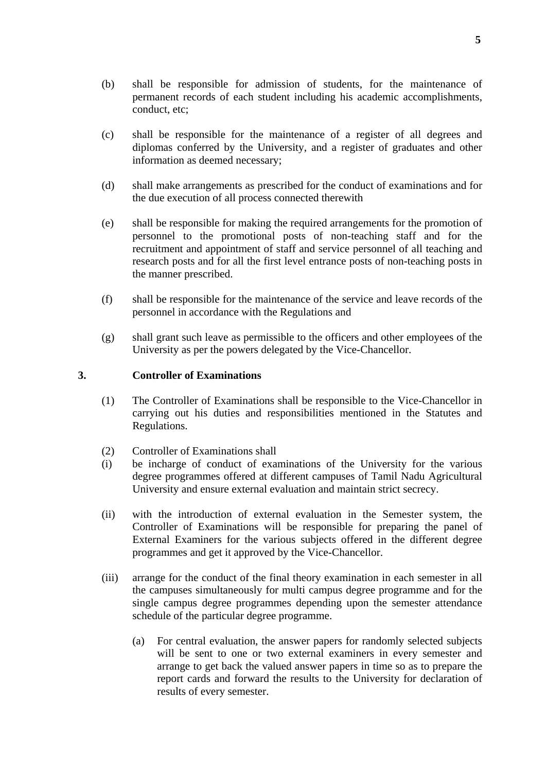- (b) shall be responsible for admission of students, for the maintenance of permanent records of each student including his academic accomplishments, conduct, etc;
- (c) shall be responsible for the maintenance of a register of all degrees and diplomas conferred by the University, and a register of graduates and other information as deemed necessary;
- (d) shall make arrangements as prescribed for the conduct of examinations and for the due execution of all process connected therewith
- (e) shall be responsible for making the required arrangements for the promotion of personnel to the promotional posts of non-teaching staff and for the recruitment and appointment of staff and service personnel of all teaching and research posts and for all the first level entrance posts of non-teaching posts in the manner prescribed.
- (f) shall be responsible for the maintenance of the service and leave records of the personnel in accordance with the Regulations and
- (g) shall grant such leave as permissible to the officers and other employees of the University as per the powers delegated by the Vice-Chancellor.

#### **3. Controller of Examinations**

- (1) The Controller of Examinations shall be responsible to the Vice-Chancellor in carrying out his duties and responsibilities mentioned in the Statutes and Regulations.
- (2) Controller of Examinations shall
- (i) be incharge of conduct of examinations of the University for the various degree programmes offered at different campuses of Tamil Nadu Agricultural University and ensure external evaluation and maintain strict secrecy.
- (ii) with the introduction of external evaluation in the Semester system, the Controller of Examinations will be responsible for preparing the panel of External Examiners for the various subjects offered in the different degree programmes and get it approved by the Vice-Chancellor.
- (iii) arrange for the conduct of the final theory examination in each semester in all the campuses simultaneously for multi campus degree programme and for the single campus degree programmes depending upon the semester attendance schedule of the particular degree programme.
	- (a) For central evaluation, the answer papers for randomly selected subjects will be sent to one or two external examiners in every semester and arrange to get back the valued answer papers in time so as to prepare the report cards and forward the results to the University for declaration of results of every semester.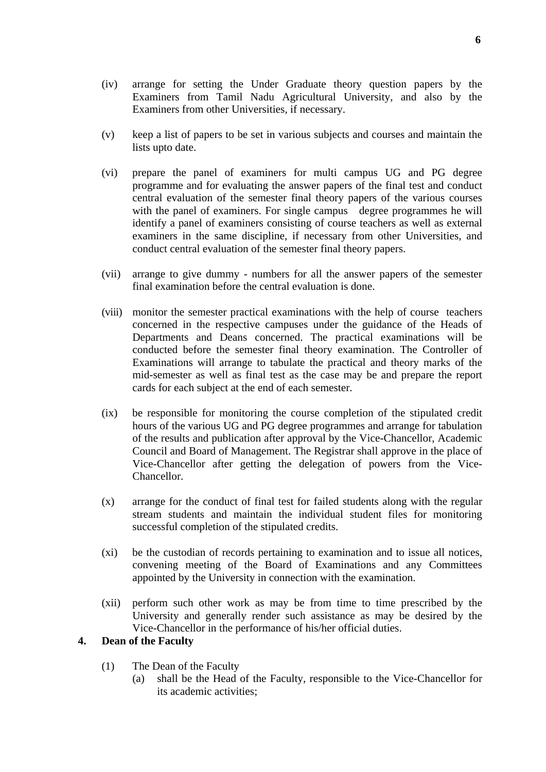- (iv) arrange for setting the Under Graduate theory question papers by the Examiners from Tamil Nadu Agricultural University, and also by the Examiners from other Universities, if necessary.
- (v) keep a list of papers to be set in various subjects and courses and maintain the lists upto date.
- (vi) prepare the panel of examiners for multi campus UG and PG degree programme and for evaluating the answer papers of the final test and conduct central evaluation of the semester final theory papers of the various courses with the panel of examiners. For single campus degree programmes he will identify a panel of examiners consisting of course teachers as well as external examiners in the same discipline, if necessary from other Universities, and conduct central evaluation of the semester final theory papers.
- (vii) arrange to give dummy numbers for all the answer papers of the semester final examination before the central evaluation is done.
- (viii) monitor the semester practical examinations with the help of course teachers concerned in the respective campuses under the guidance of the Heads of Departments and Deans concerned. The practical examinations will be conducted before the semester final theory examination. The Controller of Examinations will arrange to tabulate the practical and theory marks of the mid-semester as well as final test as the case may be and prepare the report cards for each subject at the end of each semester.
- (ix) be responsible for monitoring the course completion of the stipulated credit hours of the various UG and PG degree programmes and arrange for tabulation of the results and publication after approval by the Vice-Chancellor, Academic Council and Board of Management. The Registrar shall approve in the place of Vice-Chancellor after getting the delegation of powers from the Vice-Chancellor.
- (x) arrange for the conduct of final test for failed students along with the regular stream students and maintain the individual student files for monitoring successful completion of the stipulated credits.
- (xi) be the custodian of records pertaining to examination and to issue all notices, convening meeting of the Board of Examinations and any Committees appointed by the University in connection with the examination.
- (xii) perform such other work as may be from time to time prescribed by the University and generally render such assistance as may be desired by the Vice-Chancellor in the performance of his/her official duties.

## **4. Dean of the Faculty**

- (1) The Dean of the Faculty
	- (a) shall be the Head of the Faculty, responsible to the Vice-Chancellor for its academic activities;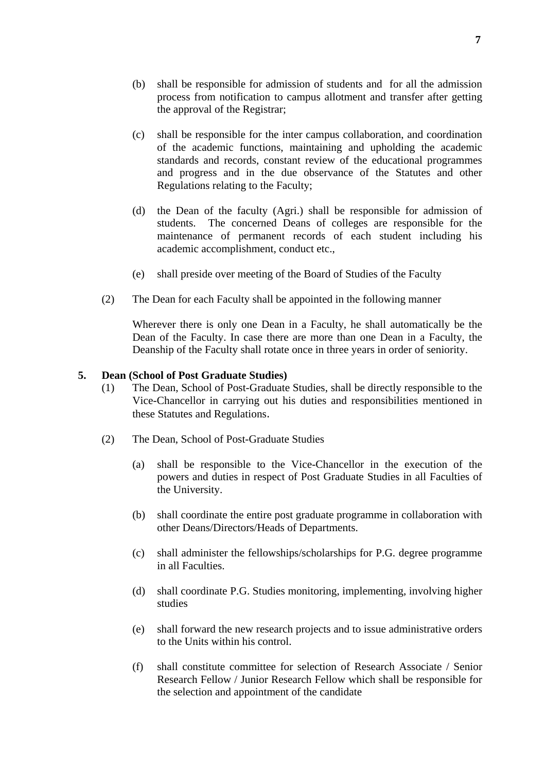- (b) shall be responsible for admission of students and for all the admission process from notification to campus allotment and transfer after getting the approval of the Registrar;
- (c) shall be responsible for the inter campus collaboration, and coordination of the academic functions, maintaining and upholding the academic standards and records, constant review of the educational programmes and progress and in the due observance of the Statutes and other Regulations relating to the Faculty;
- (d) the Dean of the faculty (Agri.) shall be responsible for admission of students. The concerned Deans of colleges are responsible for the maintenance of permanent records of each student including his academic accomplishment, conduct etc.,
- (e) shall preside over meeting of the Board of Studies of the Faculty
- (2) The Dean for each Faculty shall be appointed in the following manner

 Wherever there is only one Dean in a Faculty, he shall automatically be the Dean of the Faculty. In case there are more than one Dean in a Faculty, the Deanship of the Faculty shall rotate once in three years in order of seniority.

#### **5. Dean (School of Post Graduate Studies)**

- (1) The Dean, School of Post-Graduate Studies, shall be directly responsible to the Vice-Chancellor in carrying out his duties and responsibilities mentioned in these Statutes and Regulations.
- (2) The Dean, School of Post-Graduate Studies
	- (a) shall be responsible to the Vice-Chancellor in the execution of the powers and duties in respect of Post Graduate Studies in all Faculties of the University.
	- (b) shall coordinate the entire post graduate programme in collaboration with other Deans/Directors/Heads of Departments.
	- (c) shall administer the fellowships/scholarships for P.G. degree programme in all Faculties.
	- (d) shall coordinate P.G. Studies monitoring, implementing, involving higher studies
	- (e) shall forward the new research projects and to issue administrative orders to the Units within his control.
	- (f) shall constitute committee for selection of Research Associate / Senior Research Fellow / Junior Research Fellow which shall be responsible for the selection and appointment of the candidate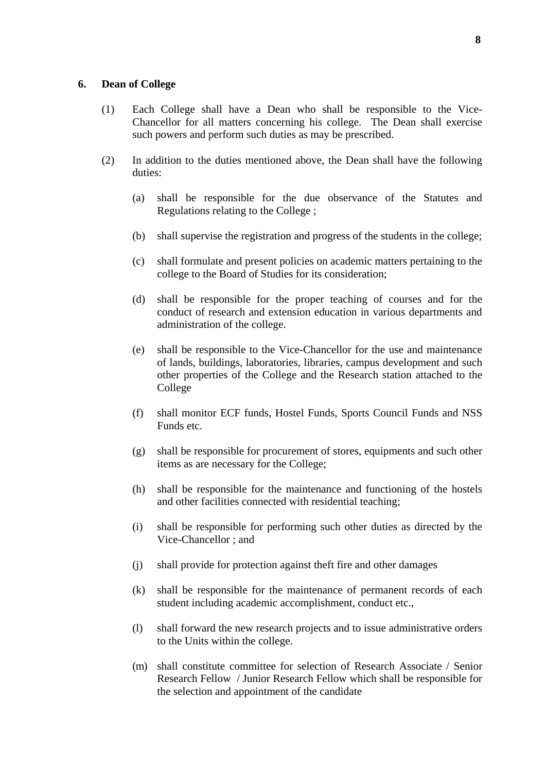#### **6. Dean of College**

- (1) Each College shall have a Dean who shall be responsible to the Vice-Chancellor for all matters concerning his college. The Dean shall exercise such powers and perform such duties as may be prescribed.
- (2) In addition to the duties mentioned above, the Dean shall have the following duties:
	- (a) shall be responsible for the due observance of the Statutes and Regulations relating to the College ;
	- (b) shall supervise the registration and progress of the students in the college;
	- (c) shall formulate and present policies on academic matters pertaining to the college to the Board of Studies for its consideration;
	- (d) shall be responsible for the proper teaching of courses and for the conduct of research and extension education in various departments and administration of the college.
	- (e) shall be responsible to the Vice-Chancellor for the use and maintenance of lands, buildings, laboratories, libraries, campus development and such other properties of the College and the Research station attached to the College
	- (f) shall monitor ECF funds, Hostel Funds, Sports Council Funds and NSS Funds etc.
	- (g) shall be responsible for procurement of stores, equipments and such other items as are necessary for the College;
	- (h) shall be responsible for the maintenance and functioning of the hostels and other facilities connected with residential teaching;
	- (i) shall be responsible for performing such other duties as directed by the Vice-Chancellor ; and
	- (j) shall provide for protection against theft fire and other damages
	- (k) shall be responsible for the maintenance of permanent records of each student including academic accomplishment, conduct etc.,
	- (l) shall forward the new research projects and to issue administrative orders to the Units within the college.
	- (m) shall constitute committee for selection of Research Associate / Senior Research Fellow / Junior Research Fellow which shall be responsible for the selection and appointment of the candidate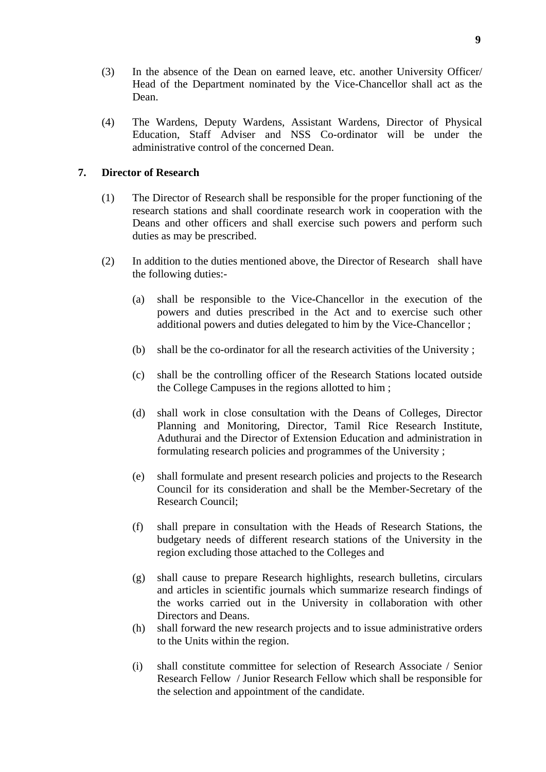- (3) In the absence of the Dean on earned leave, etc. another University Officer/ Head of the Department nominated by the Vice-Chancellor shall act as the Dean.
- (4) The Wardens, Deputy Wardens, Assistant Wardens, Director of Physical Education, Staff Adviser and NSS Co-ordinator will be under the administrative control of the concerned Dean.

### **7. Director of Research**

- (1) The Director of Research shall be responsible for the proper functioning of the research stations and shall coordinate research work in cooperation with the Deans and other officers and shall exercise such powers and perform such duties as may be prescribed.
- (2) In addition to the duties mentioned above, the Director of Research shall have the following duties:-
	- (a) shall be responsible to the Vice-Chancellor in the execution of the powers and duties prescribed in the Act and to exercise such other additional powers and duties delegated to him by the Vice-Chancellor ;
	- (b) shall be the co-ordinator for all the research activities of the University ;
	- (c) shall be the controlling officer of the Research Stations located outside the College Campuses in the regions allotted to him ;
	- (d) shall work in close consultation with the Deans of Colleges, Director Planning and Monitoring, Director, Tamil Rice Research Institute, Aduthurai and the Director of Extension Education and administration in formulating research policies and programmes of the University ;
	- (e) shall formulate and present research policies and projects to the Research Council for its consideration and shall be the Member-Secretary of the Research Council;
	- (f) shall prepare in consultation with the Heads of Research Stations, the budgetary needs of different research stations of the University in the region excluding those attached to the Colleges and
	- (g) shall cause to prepare Research highlights, research bulletins, circulars and articles in scientific journals which summarize research findings of the works carried out in the University in collaboration with other Directors and Deans.
	- (h) shall forward the new research projects and to issue administrative orders to the Units within the region.
	- (i) shall constitute committee for selection of Research Associate / Senior Research Fellow / Junior Research Fellow which shall be responsible for the selection and appointment of the candidate.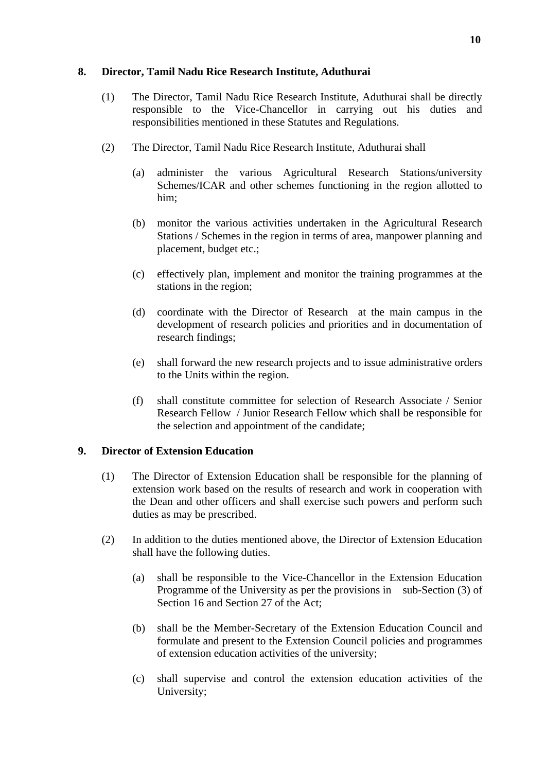### **8. Director, Tamil Nadu Rice Research Institute, Aduthurai**

- (1) The Director, Tamil Nadu Rice Research Institute, Aduthurai shall be directly responsible to the Vice-Chancellor in carrying out his duties and responsibilities mentioned in these Statutes and Regulations.
- (2) The Director, Tamil Nadu Rice Research Institute, Aduthurai shall
	- (a) administer the various Agricultural Research Stations/university Schemes/ICAR and other schemes functioning in the region allotted to him;
	- (b) monitor the various activities undertaken in the Agricultural Research Stations / Schemes in the region in terms of area, manpower planning and placement, budget etc.;
	- (c) effectively plan, implement and monitor the training programmes at the stations in the region;
	- (d) coordinate with the Director of Research at the main campus in the development of research policies and priorities and in documentation of research findings;
	- (e) shall forward the new research projects and to issue administrative orders to the Units within the region.
	- (f) shall constitute committee for selection of Research Associate / Senior Research Fellow / Junior Research Fellow which shall be responsible for the selection and appointment of the candidate;

## **9. Director of Extension Education**

- (1) The Director of Extension Education shall be responsible for the planning of extension work based on the results of research and work in cooperation with the Dean and other officers and shall exercise such powers and perform such duties as may be prescribed.
- (2) In addition to the duties mentioned above, the Director of Extension Education shall have the following duties.
	- (a) shall be responsible to the Vice-Chancellor in the Extension Education Programme of the University as per the provisions in sub-Section (3) of Section 16 and Section 27 of the Act;
	- (b) shall be the Member-Secretary of the Extension Education Council and formulate and present to the Extension Council policies and programmes of extension education activities of the university;
	- (c) shall supervise and control the extension education activities of the University;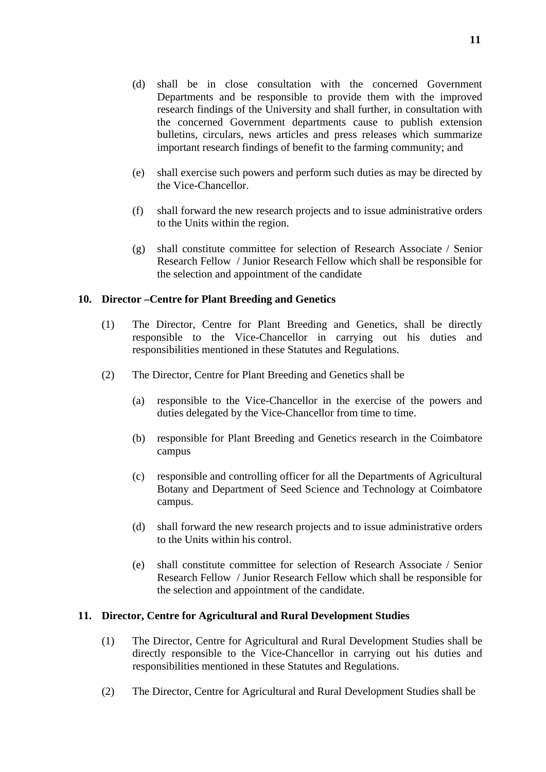- (d) shall be in close consultation with the concerned Government Departments and be responsible to provide them with the improved research findings of the University and shall further, in consultation with the concerned Government departments cause to publish extension bulletins, circulars, news articles and press releases which summarize important research findings of benefit to the farming community; and
- (e) shall exercise such powers and perform such duties as may be directed by the Vice-Chancellor.
- (f) shall forward the new research projects and to issue administrative orders to the Units within the region.
- (g) shall constitute committee for selection of Research Associate / Senior Research Fellow / Junior Research Fellow which shall be responsible for the selection and appointment of the candidate

## **10. Director –Centre for Plant Breeding and Genetics**

- (1) The Director, Centre for Plant Breeding and Genetics, shall be directly responsible to the Vice-Chancellor in carrying out his duties and responsibilities mentioned in these Statutes and Regulations.
- (2) The Director, Centre for Plant Breeding and Genetics shall be
	- (a) responsible to the Vice-Chancellor in the exercise of the powers and duties delegated by the Vice-Chancellor from time to time.
	- (b) responsible for Plant Breeding and Genetics research in the Coimbatore campus
	- (c) responsible and controlling officer for all the Departments of Agricultural Botany and Department of Seed Science and Technology at Coimbatore campus.
	- (d) shall forward the new research projects and to issue administrative orders to the Units within his control.
	- (e) shall constitute committee for selection of Research Associate / Senior Research Fellow / Junior Research Fellow which shall be responsible for the selection and appointment of the candidate.

#### **11. Director, Centre for Agricultural and Rural Development Studies**

- (1) The Director, Centre for Agricultural and Rural Development Studies shall be directly responsible to the Vice-Chancellor in carrying out his duties and responsibilities mentioned in these Statutes and Regulations.
- (2) The Director, Centre for Agricultural and Rural Development Studies shall be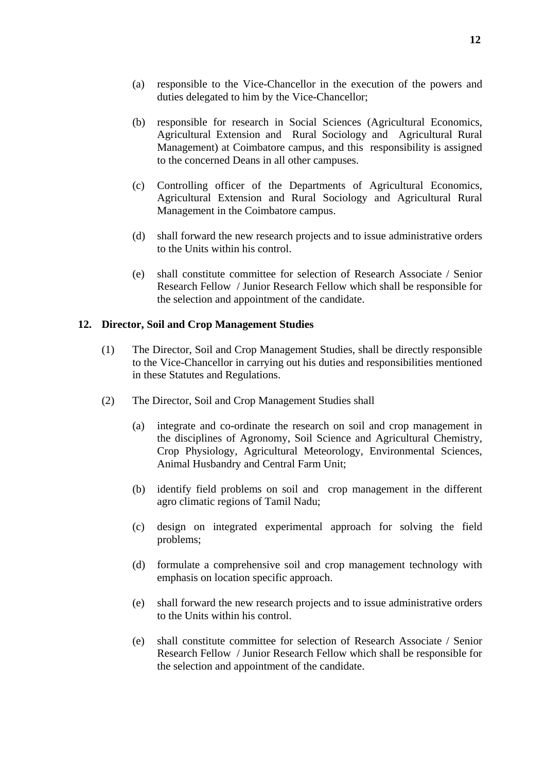- (a) responsible to the Vice-Chancellor in the execution of the powers and duties delegated to him by the Vice-Chancellor;
- (b) responsible for research in Social Sciences (Agricultural Economics, Agricultural Extension and Rural Sociology and Agricultural Rural Management) at Coimbatore campus, and this responsibility is assigned to the concerned Deans in all other campuses.
- (c) Controlling officer of the Departments of Agricultural Economics, Agricultural Extension and Rural Sociology and Agricultural Rural Management in the Coimbatore campus.
- (d) shall forward the new research projects and to issue administrative orders to the Units within his control.
- (e) shall constitute committee for selection of Research Associate / Senior Research Fellow / Junior Research Fellow which shall be responsible for the selection and appointment of the candidate.

## **12. Director, Soil and Crop Management Studies**

- (1) The Director, Soil and Crop Management Studies, shall be directly responsible to the Vice-Chancellor in carrying out his duties and responsibilities mentioned in these Statutes and Regulations.
- (2) The Director, Soil and Crop Management Studies shall
	- (a) integrate and co-ordinate the research on soil and crop management in the disciplines of Agronomy, Soil Science and Agricultural Chemistry, Crop Physiology, Agricultural Meteorology, Environmental Sciences, Animal Husbandry and Central Farm Unit;
	- (b) identify field problems on soil and crop management in the different agro climatic regions of Tamil Nadu;
	- (c) design on integrated experimental approach for solving the field problems;
	- (d) formulate a comprehensive soil and crop management technology with emphasis on location specific approach.
	- (e) shall forward the new research projects and to issue administrative orders to the Units within his control.
	- (e) shall constitute committee for selection of Research Associate / Senior Research Fellow / Junior Research Fellow which shall be responsible for the selection and appointment of the candidate.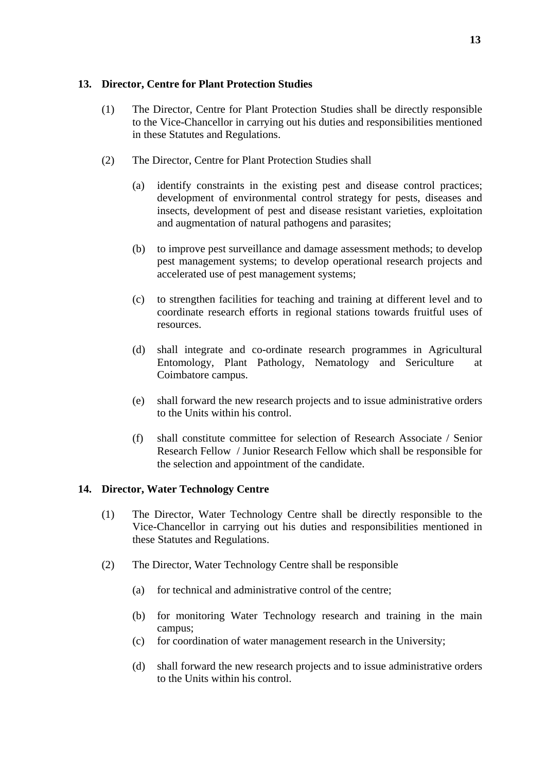#### **13. Director, Centre for Plant Protection Studies**

- (1) The Director, Centre for Plant Protection Studies shall be directly responsible to the Vice-Chancellor in carrying out his duties and responsibilities mentioned in these Statutes and Regulations.
- (2) The Director, Centre for Plant Protection Studies shall
	- (a) identify constraints in the existing pest and disease control practices; development of environmental control strategy for pests, diseases and insects, development of pest and disease resistant varieties, exploitation and augmentation of natural pathogens and parasites;
	- (b) to improve pest surveillance and damage assessment methods; to develop pest management systems; to develop operational research projects and accelerated use of pest management systems;
	- (c) to strengthen facilities for teaching and training at different level and to coordinate research efforts in regional stations towards fruitful uses of resources.
	- (d) shall integrate and co-ordinate research programmes in Agricultural Entomology, Plant Pathology, Nematology and Sericulture at Coimbatore campus.
	- (e) shall forward the new research projects and to issue administrative orders to the Units within his control.
	- (f) shall constitute committee for selection of Research Associate / Senior Research Fellow / Junior Research Fellow which shall be responsible for the selection and appointment of the candidate.

#### **14. Director, Water Technology Centre**

- (1) The Director, Water Technology Centre shall be directly responsible to the Vice-Chancellor in carrying out his duties and responsibilities mentioned in these Statutes and Regulations.
- (2) The Director, Water Technology Centre shall be responsible
	- (a) for technical and administrative control of the centre;
	- (b) for monitoring Water Technology research and training in the main campus;
	- (c) for coordination of water management research in the University;
	- (d) shall forward the new research projects and to issue administrative orders to the Units within his control.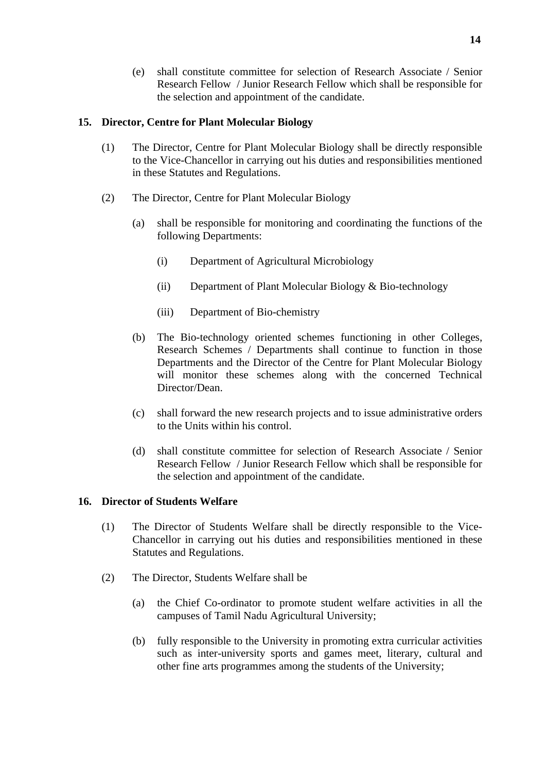(e) shall constitute committee for selection of Research Associate / Senior Research Fellow / Junior Research Fellow which shall be responsible for the selection and appointment of the candidate.

### **15. Director, Centre for Plant Molecular Biology**

- (1) The Director, Centre for Plant Molecular Biology shall be directly responsible to the Vice-Chancellor in carrying out his duties and responsibilities mentioned in these Statutes and Regulations.
- (2) The Director, Centre for Plant Molecular Biology
	- (a) shall be responsible for monitoring and coordinating the functions of the following Departments:
		- (i) Department of Agricultural Microbiology
		- (ii) Department of Plant Molecular Biology & Bio-technology
		- (iii) Department of Bio-chemistry
	- (b) The Bio-technology oriented schemes functioning in other Colleges, Research Schemes / Departments shall continue to function in those Departments and the Director of the Centre for Plant Molecular Biology will monitor these schemes along with the concerned Technical Director/Dean.
	- (c) shall forward the new research projects and to issue administrative orders to the Units within his control.
	- (d) shall constitute committee for selection of Research Associate / Senior Research Fellow / Junior Research Fellow which shall be responsible for the selection and appointment of the candidate.

#### **16. Director of Students Welfare**

- (1) The Director of Students Welfare shall be directly responsible to the Vice-Chancellor in carrying out his duties and responsibilities mentioned in these Statutes and Regulations.
- (2) The Director, Students Welfare shall be
	- (a) the Chief Co-ordinator to promote student welfare activities in all the campuses of Tamil Nadu Agricultural University;
	- (b) fully responsible to the University in promoting extra curricular activities such as inter-university sports and games meet, literary, cultural and other fine arts programmes among the students of the University;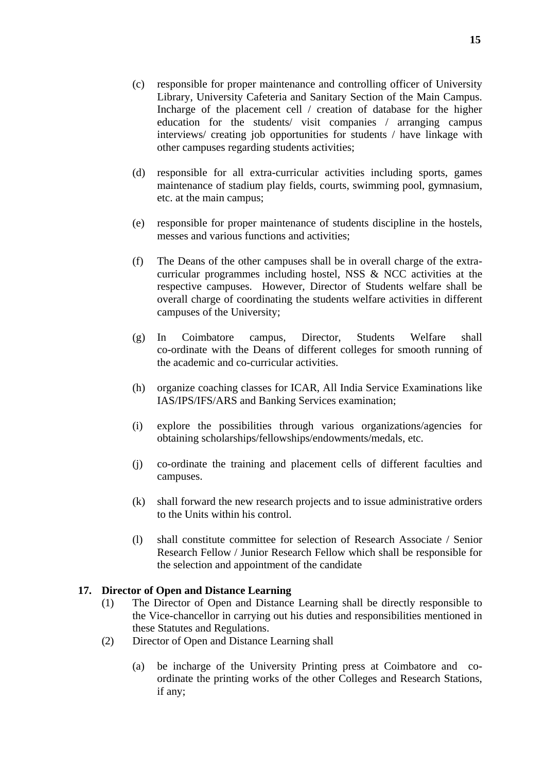- (c) responsible for proper maintenance and controlling officer of University Library, University Cafeteria and Sanitary Section of the Main Campus. Incharge of the placement cell / creation of database for the higher education for the students/ visit companies / arranging campus interviews/ creating job opportunities for students / have linkage with other campuses regarding students activities;
- (d) responsible for all extra-curricular activities including sports, games maintenance of stadium play fields, courts, swimming pool, gymnasium, etc. at the main campus;
- (e) responsible for proper maintenance of students discipline in the hostels, messes and various functions and activities;
- (f) The Deans of the other campuses shall be in overall charge of the extracurricular programmes including hostel, NSS & NCC activities at the respective campuses. However, Director of Students welfare shall be overall charge of coordinating the students welfare activities in different campuses of the University;
- (g) In Coimbatore campus, Director, Students Welfare shall co-ordinate with the Deans of different colleges for smooth running of the academic and co-curricular activities.
- (h) organize coaching classes for ICAR, All India Service Examinations like IAS/IPS/IFS/ARS and Banking Services examination;
- (i) explore the possibilities through various organizations/agencies for obtaining scholarships/fellowships/endowments/medals, etc.
- (j) co-ordinate the training and placement cells of different faculties and campuses.
- (k) shall forward the new research projects and to issue administrative orders to the Units within his control.
- (l) shall constitute committee for selection of Research Associate / Senior Research Fellow / Junior Research Fellow which shall be responsible for the selection and appointment of the candidate

## **17. Director of Open and Distance Learning**

- (1) The Director of Open and Distance Learning shall be directly responsible to the Vice-chancellor in carrying out his duties and responsibilities mentioned in these Statutes and Regulations.
- (2) Director of Open and Distance Learning shall
	- (a) be incharge of the University Printing press at Coimbatore and coordinate the printing works of the other Colleges and Research Stations, if any;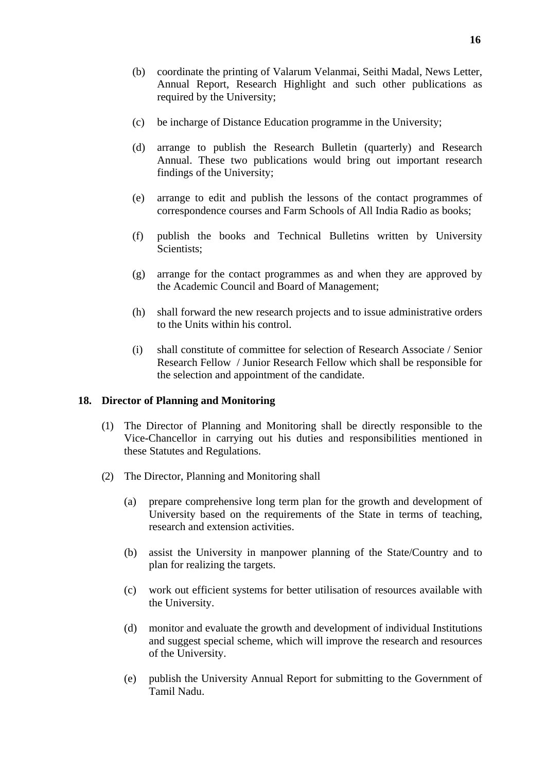- (b) coordinate the printing of Valarum Velanmai, Seithi Madal, News Letter, Annual Report, Research Highlight and such other publications as required by the University;
- (c) be incharge of Distance Education programme in the University;
- (d) arrange to publish the Research Bulletin (quarterly) and Research Annual. These two publications would bring out important research findings of the University;
- (e) arrange to edit and publish the lessons of the contact programmes of correspondence courses and Farm Schools of All India Radio as books;
- (f) publish the books and Technical Bulletins written by University Scientists:
- (g) arrange for the contact programmes as and when they are approved by the Academic Council and Board of Management;
- (h) shall forward the new research projects and to issue administrative orders to the Units within his control.
- (i) shall constitute of committee for selection of Research Associate / Senior Research Fellow / Junior Research Fellow which shall be responsible for the selection and appointment of the candidate.

## **18. Director of Planning and Monitoring**

- (1) The Director of Planning and Monitoring shall be directly responsible to the Vice-Chancellor in carrying out his duties and responsibilities mentioned in these Statutes and Regulations.
- (2) The Director, Planning and Monitoring shall
	- (a) prepare comprehensive long term plan for the growth and development of University based on the requirements of the State in terms of teaching, research and extension activities.
	- (b) assist the University in manpower planning of the State/Country and to plan for realizing the targets.
	- (c) work out efficient systems for better utilisation of resources available with the University.
	- (d) monitor and evaluate the growth and development of individual Institutions and suggest special scheme, which will improve the research and resources of the University.
	- (e) publish the University Annual Report for submitting to the Government of Tamil Nadu.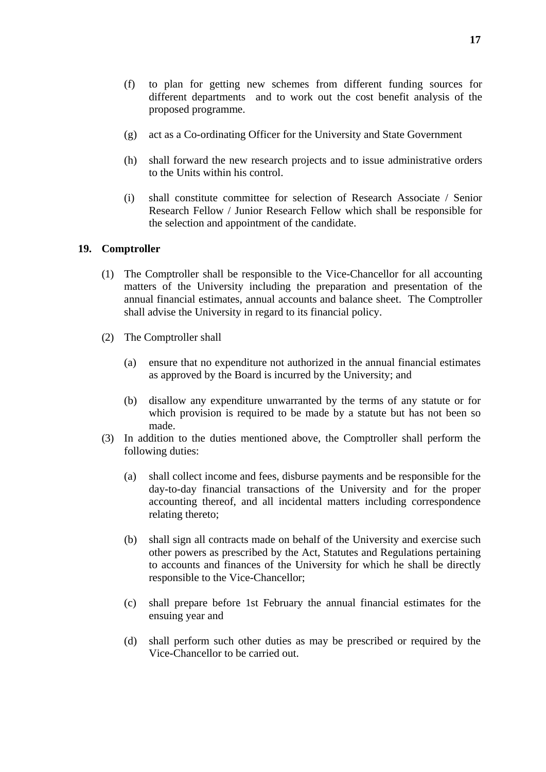- (f) to plan for getting new schemes from different funding sources for different departments and to work out the cost benefit analysis of the proposed programme.
- (g) act as a Co-ordinating Officer for the University and State Government
- (h) shall forward the new research projects and to issue administrative orders to the Units within his control.
- (i) shall constitute committee for selection of Research Associate / Senior Research Fellow / Junior Research Fellow which shall be responsible for the selection and appointment of the candidate.

#### **19. Comptroller**

- (1) The Comptroller shall be responsible to the Vice-Chancellor for all accounting matters of the University including the preparation and presentation of the annual financial estimates, annual accounts and balance sheet. The Comptroller shall advise the University in regard to its financial policy.
- (2) The Comptroller shall
	- (a) ensure that no expenditure not authorized in the annual financial estimates as approved by the Board is incurred by the University; and
	- (b) disallow any expenditure unwarranted by the terms of any statute or for which provision is required to be made by a statute but has not been so made.
- (3) In addition to the duties mentioned above, the Comptroller shall perform the following duties:
	- (a) shall collect income and fees, disburse payments and be responsible for the day-to-day financial transactions of the University and for the proper accounting thereof, and all incidental matters including correspondence relating thereto;
	- (b) shall sign all contracts made on behalf of the University and exercise such other powers as prescribed by the Act, Statutes and Regulations pertaining to accounts and finances of the University for which he shall be directly responsible to the Vice-Chancellor;
	- (c) shall prepare before 1st February the annual financial estimates for the ensuing year and
	- (d) shall perform such other duties as may be prescribed or required by the Vice-Chancellor to be carried out.